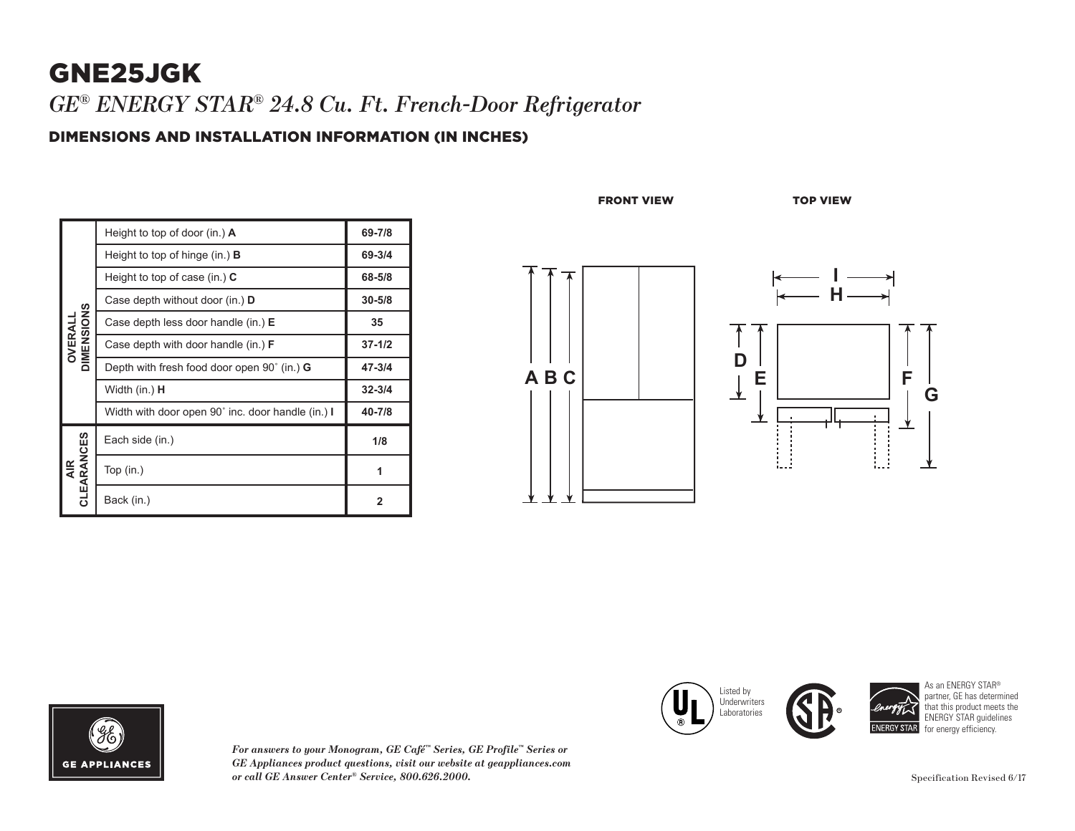## GNE25JGK *GE® ENERGY STAR® 24.8 Cu. Ft. French-Door Refrigerator*

### DIMENSIONS AND INSTALLATION INFORMATION (IN INCHES)

| <b>OVERALL<br/>DIMENSIONS</b> | Height to top of door (in.) $\bf{A}$                 | 69-7/8     |
|-------------------------------|------------------------------------------------------|------------|
|                               | Height to top of hinge (in.) $\bf{B}$                | 69-3/4     |
|                               | Height to top of case (in.) $C$                      | 68-5/8     |
|                               | Case depth without door (in.) D                      | $30 - 5/8$ |
|                               | Case depth less door handle (in.) E                  | 35         |
|                               | Case depth with door handle (in.) <b>F</b>           | $37 - 1/2$ |
|                               | Depth with fresh food door open $90^{\circ}$ (in.) G | 47-3/4     |
|                               | Width (in.) H                                        | $32 - 3/4$ |
|                               | Width with door open 90° inc. door handle (in.) I    | 40-7/8     |
| AIR<br>CLEARANCES             | Each side (in.)                                      | 1/8        |
|                               | Top $(in.)$                                          | 1          |
|                               | Back (in.)                                           | 2          |

FRONT VIEW TOP VIEW





*For answers to your Monogram, GE Café™ Series, GE Profile™ Series or GE Appliances product questions, visit our website at geappliances.com or call GE Answer Center® Service, 800.626.2000.* Specification Revised 6/17

Listed by **Underwriters CO** Laboratories  $\sim$  $\searrow$ 



As an ENERGY STAR® partner, GE has determined that this product meets the ENERGY STAR guidelines for energy efficiency.